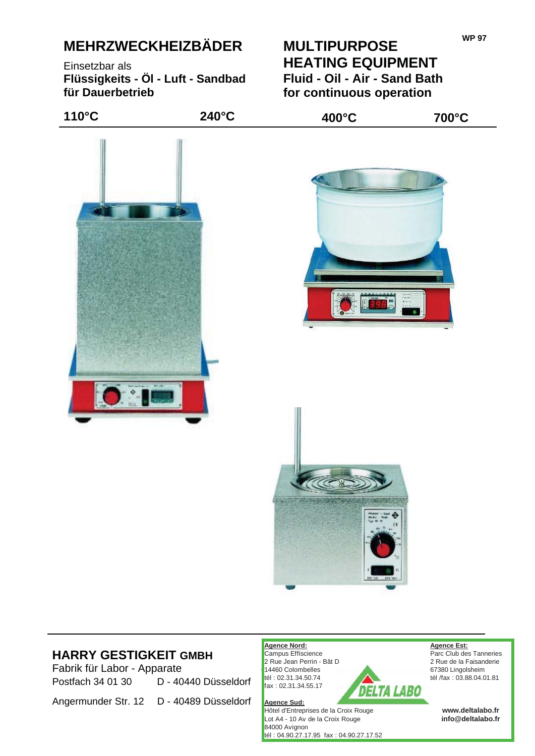# **MEHRZWECKHEIZBÄDER**

Einsetzbar als **Flüssigkeits - Öl - Luft - Sandbad für Dauerbetrieb**

### **MULTIPURPOSE HEATING EQUIPMENT Fluid - Oil - Air - Sand Bath for continuous operation**



## **HARRY GESTIGKEIT GMBH**<br> **TARRY GESTIGKEIT GMBH**<br> **TARRY GESTIGKEIT GMBH**<br>
2 Rue Jean Perrin - Bât D<br>
2 Rue Jean Perrin - Bât D<br>
2 Rue de la Faisanderie

Fabrik für Labor - Apparate 67380 Lingolsheim<br>
Rectforb 34.01.20<br>
Factforb 34.01.20<br>
Factforb 34.01.20<br>
Factforb 34.01.20<br>
Factforb 34.01.20<br>
Factforb 34.01.20<br>
Factforb 34.01.20<br>
Factors in the fax : 03.88.04.0 Postfach 34 01 30 D - 40440 Düsseldorf Fax: 02.31.34.56.17

Angermunder Str. 12 D - 40489 Düsseldorf

2 Rue Jean Perrin - Bât D 14460 Colombelles fax : 02.31.34.55.17

**Agence Sud:** Hôtel d'Entreprises de la Croix Rouge Lot A4 - 10 Av de la Croix Rouge 84000 Avignon tél : 04.90.27.17.95 fax : 04.90.27.17.52

**Agence Nord: Agence Est:** Parc Club des Tanneries tél /fax : 03.88.04.01.81

> **info@deltalabo.fr www.deltalabo.fr**